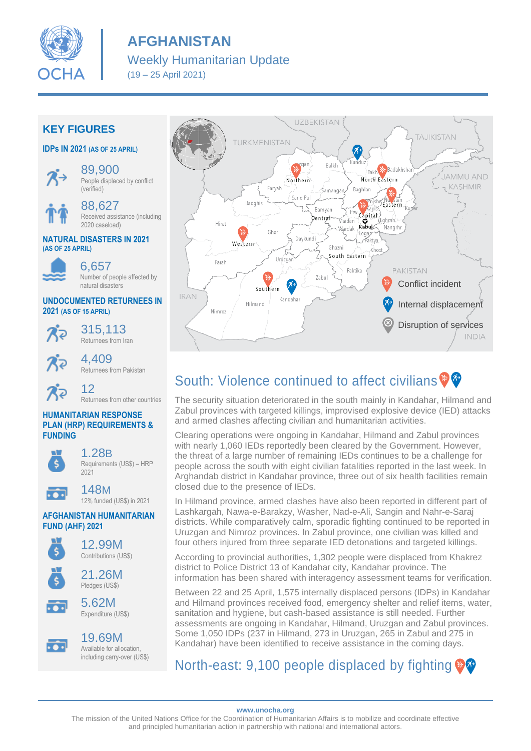

# **AFGHANISTAN**

## Weekly Humanitarian Update

(19 – 25 April 2021)

### **KEY FIGURES**

### **IDPs IN 2021 (AS OF 25 APRIL)**



89,900 People displaced by conflict (verified)



88,627 Received assistance (including 2020 caseload)

### **NATURAL DISASTERS IN 2021 (AS OF 25 APRIL)**

6,657 Number of people affected by natural disasters

### **UNDOCUMENTED RETURNEES IN 2021 (AS OF 15 APRIL)**

 $\chi_2$ 

315,113 Returnees from Iran



4,409 Returnees from Pakistan

#### 12 Returnees from other countries

### **HUMANITARIAN RESPONSE PLAN (HRP) REQUIREMENTS & FUNDING**



1.28B Requirements (US\$) – HRP 2021



148M 12% funded (US\$) in 2021

### **AFGHANISTAN HUMANITARIAN FUND (AHF) 2021**





# South: Violence continued to affect civilians  $\mathbf{\mathcal{P}}$

The security situation deteriorated in the south mainly in Kandahar, Hilmand and Zabul provinces with targeted killings, improvised explosive device (IED) attacks and armed clashes affecting civilian and humanitarian activities.

Clearing operations were ongoing in Kandahar, Hilmand and Zabul provinces with nearly 1,060 IEDs reportedly been cleared by the Government. However, the threat of a large number of remaining IEDs continues to be a challenge for people across the south with eight civilian fatalities reported in the last week. In Arghandab district in Kandahar province, three out of six health facilities remain closed due to the presence of IEDs.

In Hilmand province, armed clashes have also been reported in different part of Lashkargah, Nawa-e-Barakzy, Washer, Nad-e-Ali, Sangin and Nahr-e-Saraj districts. While comparatively calm, sporadic fighting continued to be reported in Uruzgan and Nimroz provinces. In Zabul province, one civilian was killed and four others injured from three separate IED detonations and targeted killings.

According to provincial authorities, 1,302 people were displaced from Khakrez district to Police District 13 of Kandahar city, Kandahar province. The information has been shared with interagency assessment teams for verification.

Between 22 and 25 April, 1,575 internally displaced persons (IDPs) in Kandahar and Hilmand provinces received food, emergency shelter and relief items, water, sanitation and hygiene, but cash-based assistance is still needed. Further assessments are ongoing in Kandahar, Hilmand, Uruzgan and Zabul provinces. Some 1,050 IDPs (237 in Hilmand, 273 in Uruzgan, 265 in Zabul and 275 in Kandahar) have been identified to receive assistance in the coming days.

# North-east: 9,100 people displaced by fighting  $\circledast$

**www.unocha.org**